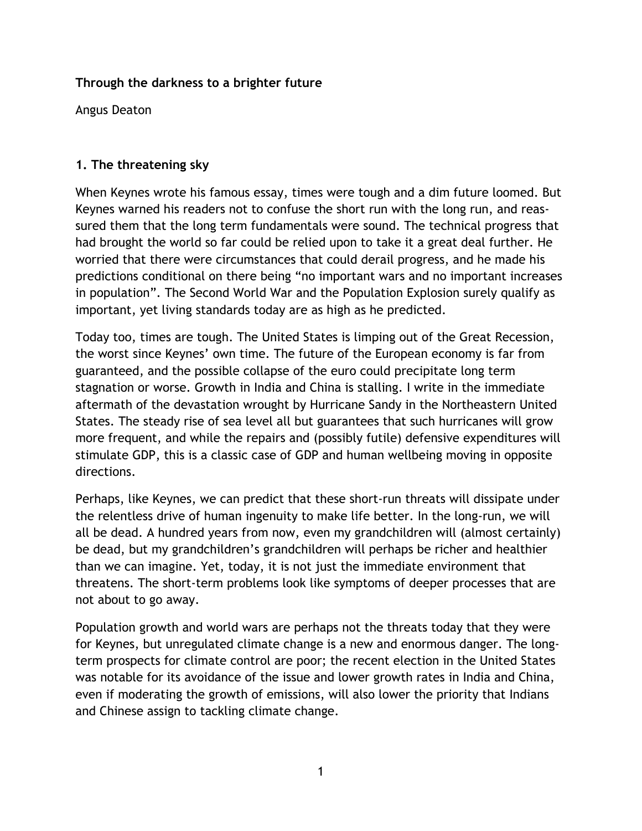### **Through the darkness to a brighter future**

Angus Deaton

## **1. The threatening sky**

When Keynes wrote his famous essay, times were tough and a dim future loomed. But Keynes warned his readers not to confuse the short run with the long run, and reassured them that the long term fundamentals were sound. The technical progress that had brought the world so far could be relied upon to take it a great deal further. He worried that there were circumstances that could derail progress, and he made his predictions conditional on there being "no important wars and no important increases in population". The Second World War and the Population Explosion surely qualify as important, yet living standards today are as high as he predicted.

Today too, times are tough. The United States is limping out of the Great Recession, the worst since Keynes' own time. The future of the European economy is far from guaranteed, and the possible collapse of the euro could precipitate long term stagnation or worse. Growth in India and China is stalling. I write in the immediate aftermath of the devastation wrought by Hurricane Sandy in the Northeastern United States. The steady rise of sea level all but guarantees that such hurricanes will grow more frequent, and while the repairs and (possibly futile) defensive expenditures will stimulate GDP, this is a classic case of GDP and human wellbeing moving in opposite directions.

Perhaps, like Keynes, we can predict that these short-run threats will dissipate under the relentless drive of human ingenuity to make life better. In the long-run, we will all be dead. A hundred years from now, even my grandchildren will (almost certainly) be dead, but my grandchildren's grandchildren will perhaps be richer and healthier than we can imagine. Yet, today, it is not just the immediate environment that threatens. The short-term problems look like symptoms of deeper processes that are not about to go away.

Population growth and world wars are perhaps not the threats today that they were for Keynes, but unregulated climate change is a new and enormous danger. The longterm prospects for climate control are poor; the recent election in the United States was notable for its avoidance of the issue and lower growth rates in India and China, even if moderating the growth of emissions, will also lower the priority that Indians and Chinese assign to tackling climate change.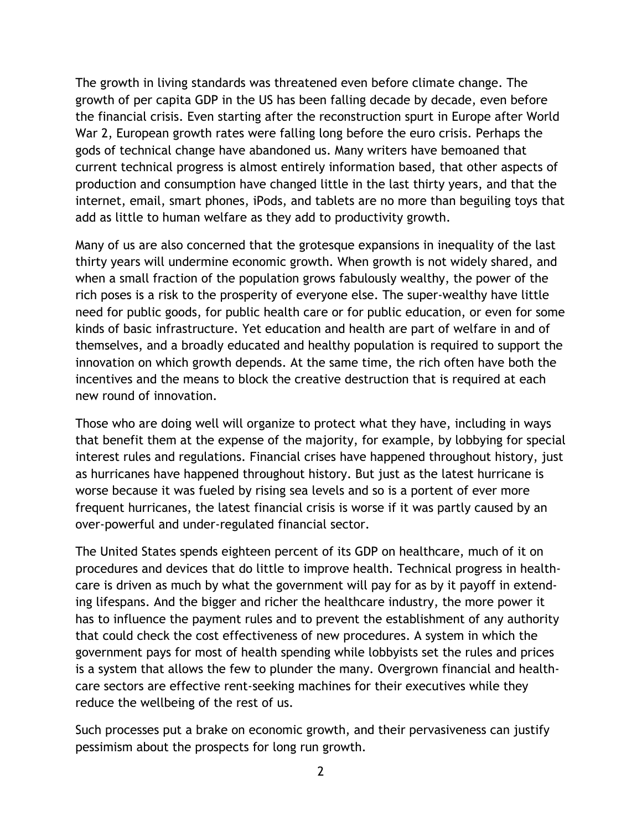The growth in living standards was threatened even before climate change. The growth of per capita GDP in the US has been falling decade by decade, even before the financial crisis. Even starting after the reconstruction spurt in Europe after World War 2, European growth rates were falling long before the euro crisis. Perhaps the gods of technical change have abandoned us. Many writers have bemoaned that current technical progress is almost entirely information based, that other aspects of production and consumption have changed little in the last thirty years, and that the internet, email, smart phones, iPods, and tablets are no more than beguiling toys that add as little to human welfare as they add to productivity growth.

Many of us are also concerned that the grotesque expansions in inequality of the last thirty years will undermine economic growth. When growth is not widely shared, and when a small fraction of the population grows fabulously wealthy, the power of the rich poses is a risk to the prosperity of everyone else. The super-wealthy have little need for public goods, for public health care or for public education, or even for some kinds of basic infrastructure. Yet education and health are part of welfare in and of themselves, and a broadly educated and healthy population is required to support the innovation on which growth depends. At the same time, the rich often have both the incentives and the means to block the creative destruction that is required at each new round of innovation.

Those who are doing well will organize to protect what they have, including in ways that benefit them at the expense of the majority, for example, by lobbying for special interest rules and regulations. Financial crises have happened throughout history, just as hurricanes have happened throughout history. But just as the latest hurricane is worse because it was fueled by rising sea levels and so is a portent of ever more frequent hurricanes, the latest financial crisis is worse if it was partly caused by an over-powerful and under-regulated financial sector.

The United States spends eighteen percent of its GDP on healthcare, much of it on procedures and devices that do little to improve health. Technical progress in healthcare is driven as much by what the government will pay for as by it payoff in extending lifespans. And the bigger and richer the healthcare industry, the more power it has to influence the payment rules and to prevent the establishment of any authority that could check the cost effectiveness of new procedures. A system in which the government pays for most of health spending while lobbyists set the rules and prices is a system that allows the few to plunder the many. Overgrown financial and healthcare sectors are effective rent-seeking machines for their executives while they reduce the wellbeing of the rest of us.

Such processes put a brake on economic growth, and their pervasiveness can justify pessimism about the prospects for long run growth.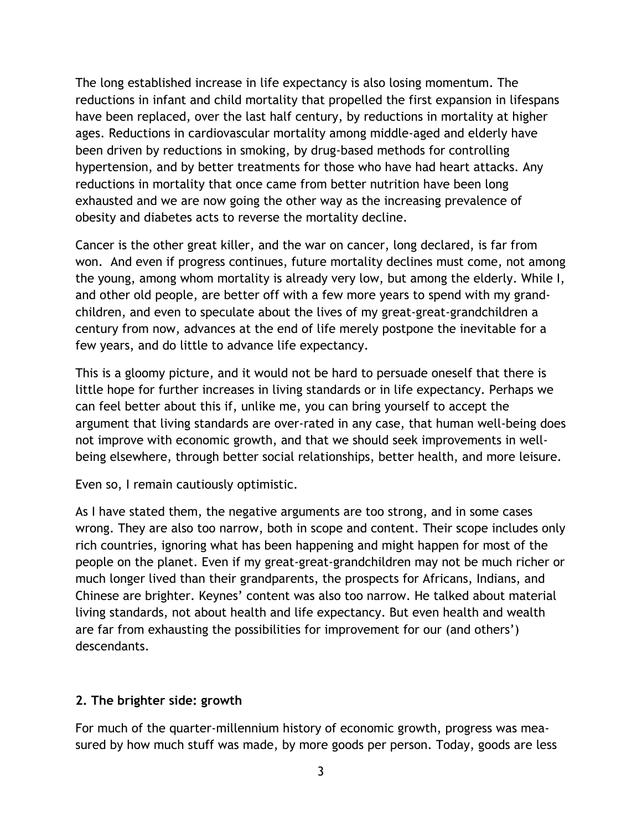The long established increase in life expectancy is also losing momentum. The reductions in infant and child mortality that propelled the first expansion in lifespans have been replaced, over the last half century, by reductions in mortality at higher ages. Reductions in cardiovascular mortality among middle-aged and elderly have been driven by reductions in smoking, by drug-based methods for controlling hypertension, and by better treatments for those who have had heart attacks. Any reductions in mortality that once came from better nutrition have been long exhausted and we are now going the other way as the increasing prevalence of obesity and diabetes acts to reverse the mortality decline.

Cancer is the other great killer, and the war on cancer, long declared, is far from won. And even if progress continues, future mortality declines must come, not among the young, among whom mortality is already very low, but among the elderly. While I, and other old people, are better off with a few more years to spend with my grandchildren, and even to speculate about the lives of my great-great-grandchildren a century from now, advances at the end of life merely postpone the inevitable for a few years, and do little to advance life expectancy.

This is a gloomy picture, and it would not be hard to persuade oneself that there is little hope for further increases in living standards or in life expectancy. Perhaps we can feel better about this if, unlike me, you can bring yourself to accept the argument that living standards are over-rated in any case, that human well-being does not improve with economic growth, and that we should seek improvements in wellbeing elsewhere, through better social relationships, better health, and more leisure.

Even so, I remain cautiously optimistic.

As I have stated them, the negative arguments are too strong, and in some cases wrong. They are also too narrow, both in scope and content. Their scope includes only rich countries, ignoring what has been happening and might happen for most of the people on the planet. Even if my great-great-grandchildren may not be much richer or much longer lived than their grandparents, the prospects for Africans, Indians, and Chinese are brighter. Keynes' content was also too narrow. He talked about material living standards, not about health and life expectancy. But even health and wealth are far from exhausting the possibilities for improvement for our (and others') descendants.

# **2. The brighter side: growth**

For much of the quarter-millennium history of economic growth, progress was measured by how much stuff was made, by more goods per person. Today, goods are less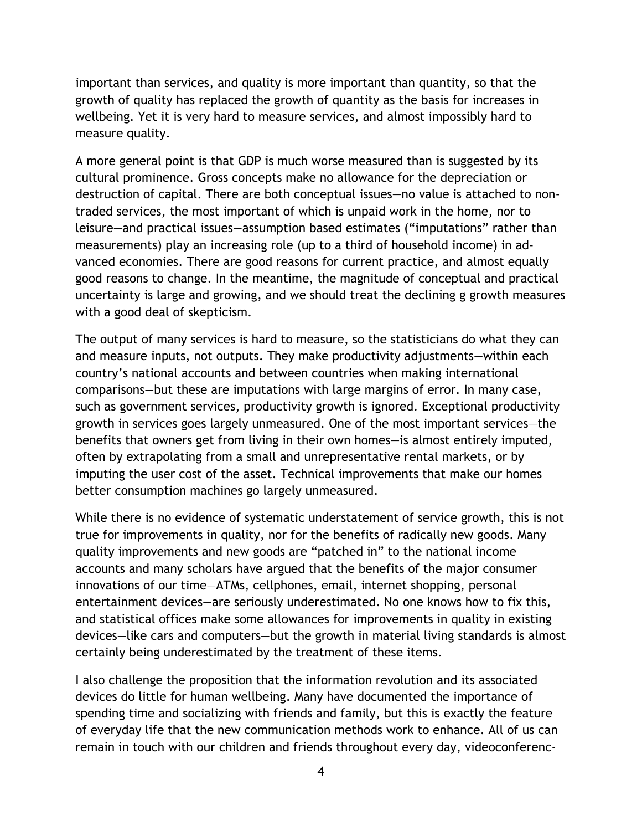important than services, and quality is more important than quantity, so that the growth of quality has replaced the growth of quantity as the basis for increases in wellbeing. Yet it is very hard to measure services, and almost impossibly hard to measure quality.

A more general point is that GDP is much worse measured than is suggested by its cultural prominence. Gross concepts make no allowance for the depreciation or destruction of capital. There are both conceptual issues—no value is attached to nontraded services, the most important of which is unpaid work in the home, nor to leisure—and practical issues—assumption based estimates ("imputations" rather than measurements) play an increasing role (up to a third of household income) in advanced economies. There are good reasons for current practice, and almost equally good reasons to change. In the meantime, the magnitude of conceptual and practical uncertainty is large and growing, and we should treat the declining g growth measures with a good deal of skepticism.

The output of many services is hard to measure, so the statisticians do what they can and measure inputs, not outputs. They make productivity adjustments—within each country's national accounts and between countries when making international comparisons—but these are imputations with large margins of error. In many case, such as government services, productivity growth is ignored. Exceptional productivity growth in services goes largely unmeasured. One of the most important services—the benefits that owners get from living in their own homes—is almost entirely imputed, often by extrapolating from a small and unrepresentative rental markets, or by imputing the user cost of the asset. Technical improvements that make our homes better consumption machines go largely unmeasured.

While there is no evidence of systematic understatement of service growth, this is not true for improvements in quality, nor for the benefits of radically new goods. Many quality improvements and new goods are "patched in" to the national income accounts and many scholars have argued that the benefits of the major consumer innovations of our time—ATMs, cellphones, email, internet shopping, personal entertainment devices—are seriously underestimated. No one knows how to fix this, and statistical offices make some allowances for improvements in quality in existing devices—like cars and computers—but the growth in material living standards is almost certainly being underestimated by the treatment of these items.

I also challenge the proposition that the information revolution and its associated devices do little for human wellbeing. Many have documented the importance of spending time and socializing with friends and family, but this is exactly the feature of everyday life that the new communication methods work to enhance. All of us can remain in touch with our children and friends throughout every day, videoconferenc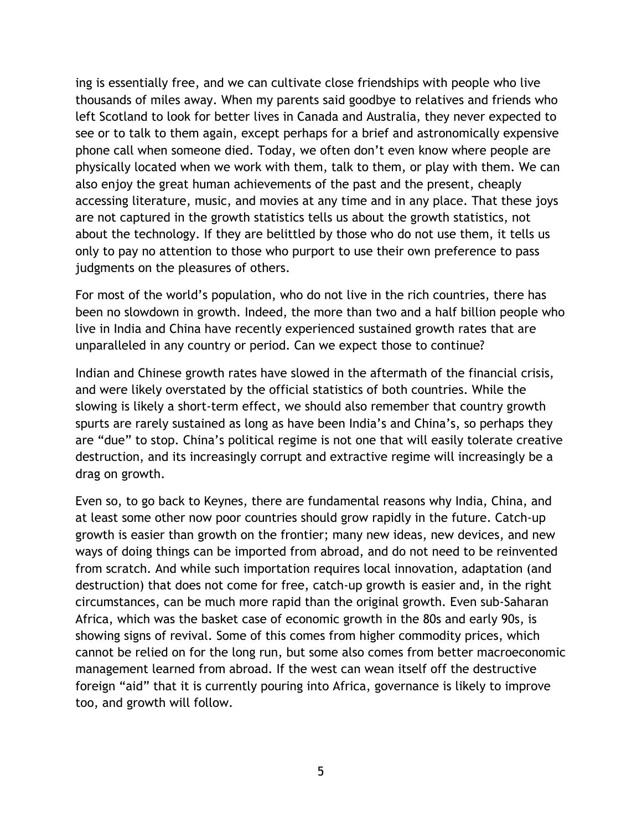ing is essentially free, and we can cultivate close friendships with people who live thousands of miles away. When my parents said goodbye to relatives and friends who left Scotland to look for better lives in Canada and Australia, they never expected to see or to talk to them again, except perhaps for a brief and astronomically expensive phone call when someone died. Today, we often don't even know where people are physically located when we work with them, talk to them, or play with them. We can also enjoy the great human achievements of the past and the present, cheaply accessing literature, music, and movies at any time and in any place. That these joys are not captured in the growth statistics tells us about the growth statistics, not about the technology. If they are belittled by those who do not use them, it tells us only to pay no attention to those who purport to use their own preference to pass judgments on the pleasures of others.

For most of the world's population, who do not live in the rich countries, there has been no slowdown in growth. Indeed, the more than two and a half billion people who live in India and China have recently experienced sustained growth rates that are unparalleled in any country or period. Can we expect those to continue?

Indian and Chinese growth rates have slowed in the aftermath of the financial crisis, and were likely overstated by the official statistics of both countries. While the slowing is likely a short-term effect, we should also remember that country growth spurts are rarely sustained as long as have been India's and China's, so perhaps they are "due" to stop. China's political regime is not one that will easily tolerate creative destruction, and its increasingly corrupt and extractive regime will increasingly be a drag on growth.

Even so, to go back to Keynes, there are fundamental reasons why India, China, and at least some other now poor countries should grow rapidly in the future. Catch-up growth is easier than growth on the frontier; many new ideas, new devices, and new ways of doing things can be imported from abroad, and do not need to be reinvented from scratch. And while such importation requires local innovation, adaptation (and destruction) that does not come for free, catch-up growth is easier and, in the right circumstances, can be much more rapid than the original growth. Even sub-Saharan Africa, which was the basket case of economic growth in the 80s and early 90s, is showing signs of revival. Some of this comes from higher commodity prices, which cannot be relied on for the long run, but some also comes from better macroeconomic management learned from abroad. If the west can wean itself off the destructive foreign "aid" that it is currently pouring into Africa, governance is likely to improve too, and growth will follow.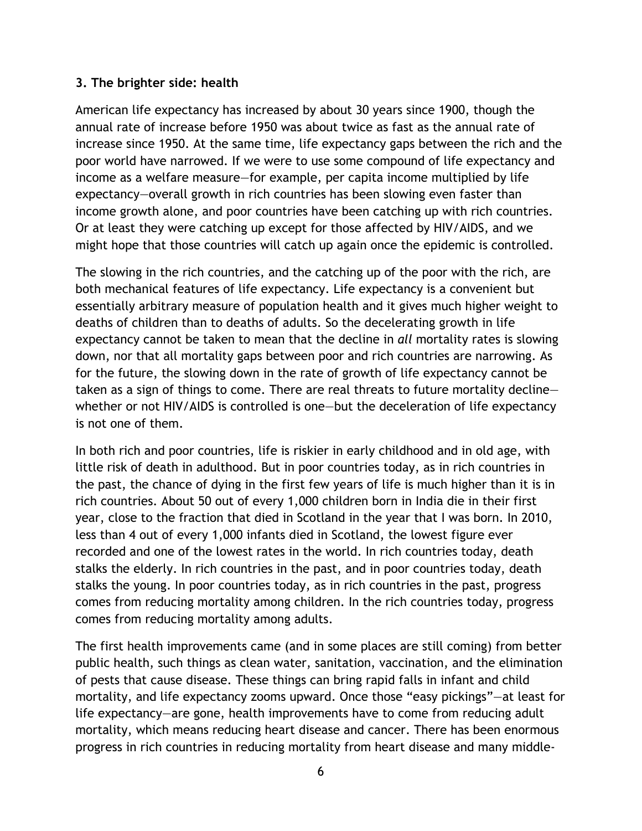### **3. The brighter side: health**

American life expectancy has increased by about 30 years since 1900, though the annual rate of increase before 1950 was about twice as fast as the annual rate of increase since 1950. At the same time, life expectancy gaps between the rich and the poor world have narrowed. If we were to use some compound of life expectancy and income as a welfare measure—for example, per capita income multiplied by life expectancy—overall growth in rich countries has been slowing even faster than income growth alone, and poor countries have been catching up with rich countries. Or at least they were catching up except for those affected by HIV/AIDS, and we might hope that those countries will catch up again once the epidemic is controlled.

The slowing in the rich countries, and the catching up of the poor with the rich, are both mechanical features of life expectancy. Life expectancy is a convenient but essentially arbitrary measure of population health and it gives much higher weight to deaths of children than to deaths of adults. So the decelerating growth in life expectancy cannot be taken to mean that the decline in *all* mortality rates is slowing down, nor that all mortality gaps between poor and rich countries are narrowing. As for the future, the slowing down in the rate of growth of life expectancy cannot be taken as a sign of things to come. There are real threats to future mortality decline whether or not HIV/AIDS is controlled is one—but the deceleration of life expectancy is not one of them.

In both rich and poor countries, life is riskier in early childhood and in old age, with little risk of death in adulthood. But in poor countries today, as in rich countries in the past, the chance of dying in the first few years of life is much higher than it is in rich countries. About 50 out of every 1,000 children born in India die in their first year, close to the fraction that died in Scotland in the year that I was born. In 2010, less than 4 out of every 1,000 infants died in Scotland, the lowest figure ever recorded and one of the lowest rates in the world. In rich countries today, death stalks the elderly. In rich countries in the past, and in poor countries today, death stalks the young. In poor countries today, as in rich countries in the past, progress comes from reducing mortality among children. In the rich countries today, progress comes from reducing mortality among adults.

The first health improvements came (and in some places are still coming) from better public health, such things as clean water, sanitation, vaccination, and the elimination of pests that cause disease. These things can bring rapid falls in infant and child mortality, and life expectancy zooms upward. Once those "easy pickings"—at least for life expectancy—are gone, health improvements have to come from reducing adult mortality, which means reducing heart disease and cancer. There has been enormous progress in rich countries in reducing mortality from heart disease and many middle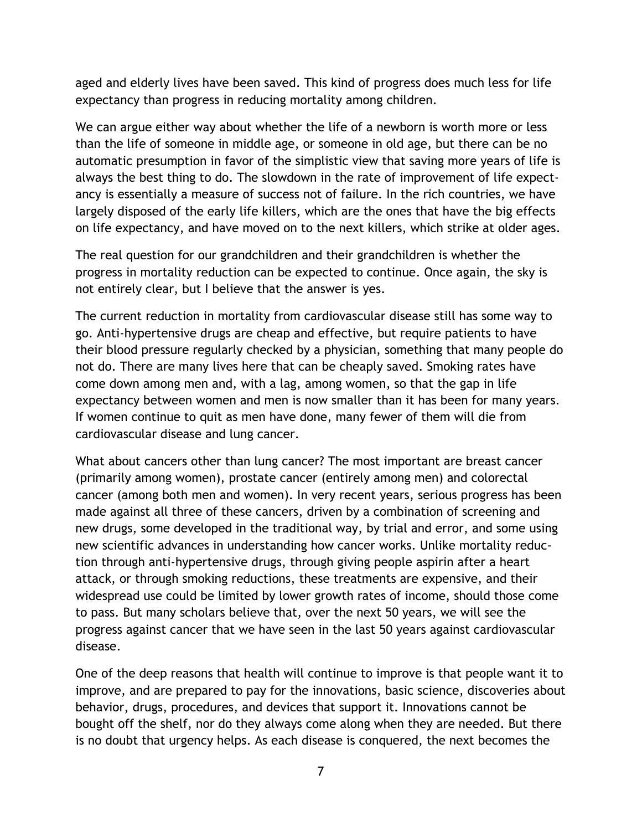aged and elderly lives have been saved. This kind of progress does much less for life expectancy than progress in reducing mortality among children.

We can argue either way about whether the life of a newborn is worth more or less than the life of someone in middle age, or someone in old age, but there can be no automatic presumption in favor of the simplistic view that saving more years of life is always the best thing to do. The slowdown in the rate of improvement of life expectancy is essentially a measure of success not of failure. In the rich countries, we have largely disposed of the early life killers, which are the ones that have the big effects on life expectancy, and have moved on to the next killers, which strike at older ages.

The real question for our grandchildren and their grandchildren is whether the progress in mortality reduction can be expected to continue. Once again, the sky is not entirely clear, but I believe that the answer is yes.

The current reduction in mortality from cardiovascular disease still has some way to go. Anti-hypertensive drugs are cheap and effective, but require patients to have their blood pressure regularly checked by a physician, something that many people do not do. There are many lives here that can be cheaply saved. Smoking rates have come down among men and, with a lag, among women, so that the gap in life expectancy between women and men is now smaller than it has been for many years. If women continue to quit as men have done, many fewer of them will die from cardiovascular disease and lung cancer.

What about cancers other than lung cancer? The most important are breast cancer (primarily among women), prostate cancer (entirely among men) and colorectal cancer (among both men and women). In very recent years, serious progress has been made against all three of these cancers, driven by a combination of screening and new drugs, some developed in the traditional way, by trial and error, and some using new scientific advances in understanding how cancer works. Unlike mortality reduction through anti-hypertensive drugs, through giving people aspirin after a heart attack, or through smoking reductions, these treatments are expensive, and their widespread use could be limited by lower growth rates of income, should those come to pass. But many scholars believe that, over the next 50 years, we will see the progress against cancer that we have seen in the last 50 years against cardiovascular disease.

One of the deep reasons that health will continue to improve is that people want it to improve, and are prepared to pay for the innovations, basic science, discoveries about behavior, drugs, procedures, and devices that support it. Innovations cannot be bought off the shelf, nor do they always come along when they are needed. But there is no doubt that urgency helps. As each disease is conquered, the next becomes the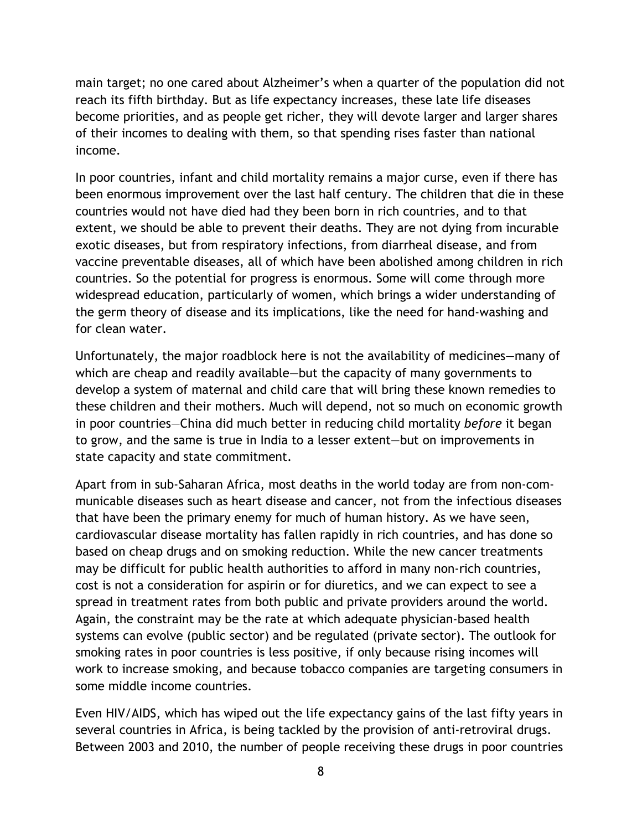main target; no one cared about Alzheimer's when a quarter of the population did not reach its fifth birthday. But as life expectancy increases, these late life diseases become priorities, and as people get richer, they will devote larger and larger shares of their incomes to dealing with them, so that spending rises faster than national income.

In poor countries, infant and child mortality remains a major curse, even if there has been enormous improvement over the last half century. The children that die in these countries would not have died had they been born in rich countries, and to that extent, we should be able to prevent their deaths. They are not dying from incurable exotic diseases, but from respiratory infections, from diarrheal disease, and from vaccine preventable diseases, all of which have been abolished among children in rich countries. So the potential for progress is enormous. Some will come through more widespread education, particularly of women, which brings a wider understanding of the germ theory of disease and its implications, like the need for hand-washing and for clean water.

Unfortunately, the major roadblock here is not the availability of medicines—many of which are cheap and readily available—but the capacity of many governments to develop a system of maternal and child care that will bring these known remedies to these children and their mothers. Much will depend, not so much on economic growth in poor countries—China did much better in reducing child mortality *before* it began to grow, and the same is true in India to a lesser extent—but on improvements in state capacity and state commitment.

Apart from in sub-Saharan Africa, most deaths in the world today are from non-communicable diseases such as heart disease and cancer, not from the infectious diseases that have been the primary enemy for much of human history. As we have seen, cardiovascular disease mortality has fallen rapidly in rich countries, and has done so based on cheap drugs and on smoking reduction. While the new cancer treatments may be difficult for public health authorities to afford in many non-rich countries, cost is not a consideration for aspirin or for diuretics, and we can expect to see a spread in treatment rates from both public and private providers around the world. Again, the constraint may be the rate at which adequate physician-based health systems can evolve (public sector) and be regulated (private sector). The outlook for smoking rates in poor countries is less positive, if only because rising incomes will work to increase smoking, and because tobacco companies are targeting consumers in some middle income countries.

Even HIV/AIDS, which has wiped out the life expectancy gains of the last fifty years in several countries in Africa, is being tackled by the provision of anti-retroviral drugs. Between 2003 and 2010, the number of people receiving these drugs in poor countries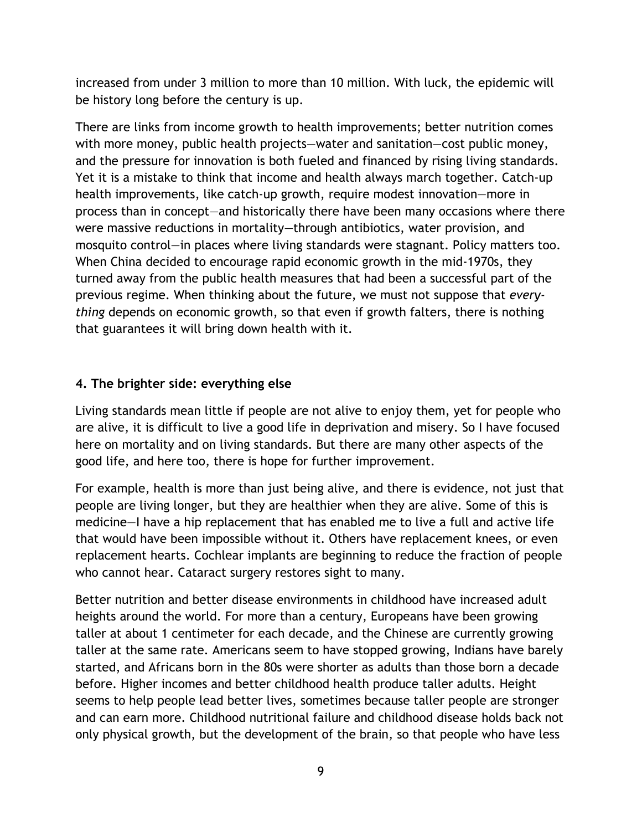increased from under 3 million to more than 10 million. With luck, the epidemic will be history long before the century is up.

There are links from income growth to health improvements; better nutrition comes with more money, public health projects—water and sanitation—cost public money, and the pressure for innovation is both fueled and financed by rising living standards. Yet it is a mistake to think that income and health always march together. Catch-up health improvements, like catch-up growth, require modest innovation—more in process than in concept—and historically there have been many occasions where there were massive reductions in mortality—through antibiotics, water provision, and mosquito control—in places where living standards were stagnant. Policy matters too. When China decided to encourage rapid economic growth in the mid-1970s, they turned away from the public health measures that had been a successful part of the previous regime. When thinking about the future, we must not suppose that *everything* depends on economic growth, so that even if growth falters, there is nothing that guarantees it will bring down health with it.

# **4. The brighter side: everything else**

Living standards mean little if people are not alive to enjoy them, yet for people who are alive, it is difficult to live a good life in deprivation and misery. So I have focused here on mortality and on living standards. But there are many other aspects of the good life, and here too, there is hope for further improvement.

For example, health is more than just being alive, and there is evidence, not just that people are living longer, but they are healthier when they are alive. Some of this is medicine—I have a hip replacement that has enabled me to live a full and active life that would have been impossible without it. Others have replacement knees, or even replacement hearts. Cochlear implants are beginning to reduce the fraction of people who cannot hear. Cataract surgery restores sight to many.

Better nutrition and better disease environments in childhood have increased adult heights around the world. For more than a century, Europeans have been growing taller at about 1 centimeter for each decade, and the Chinese are currently growing taller at the same rate. Americans seem to have stopped growing, Indians have barely started, and Africans born in the 80s were shorter as adults than those born a decade before. Higher incomes and better childhood health produce taller adults. Height seems to help people lead better lives, sometimes because taller people are stronger and can earn more. Childhood nutritional failure and childhood disease holds back not only physical growth, but the development of the brain, so that people who have less